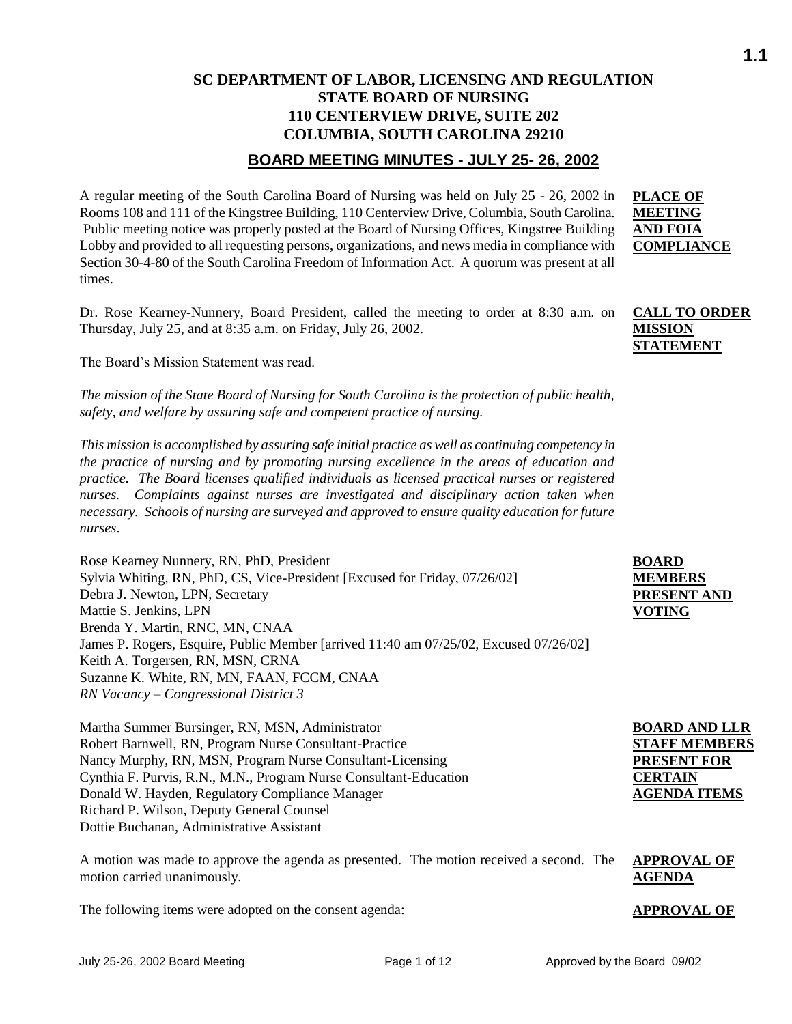## **SC DEPARTMENT OF LABOR, LICENSING AND REGULATION STATE BOARD OF NURSING 110 CENTERVIEW DRIVE, SUITE 202 COLUMBIA, SOUTH CAROLINA 29210**

## **BOARD MEETING MINUTES - JULY 25- 26, 2002**

A regular meeting of the South Carolina Board of Nursing was held on July 25 - 26, 2002 in Rooms 108 and 111 of the Kingstree Building, 110 Centerview Drive, Columbia, South Carolina. Public meeting notice was properly posted at the Board of Nursing Offices, Kingstree Building Lobby and provided to all requesting persons, organizations, and news media in compliance with Section 30-4-80 of the South Carolina Freedom of Information Act. A quorum was present at all times.

Dr. Rose Kearney-Nunnery, Board President, called the meeting to order at 8:30 a.m. on Thursday, July 25, and at 8:35 a.m. on Friday, July 26, 2002.

The Board's Mission Statement was read.

*The mission of the State Board of Nursing for South Carolina is the protection of public health, safety, and welfare by assuring safe and competent practice of nursing.*

*This mission is accomplished by assuring safe initial practice as well as continuing competency in the practice of nursing and by promoting nursing excellence in the areas of education and practice. The Board licenses qualified individuals as licensed practical nurses or registered nurses. Complaints against nurses are investigated and disciplinary action taken when necessary. Schools of nursing are surveyed and approved to ensure quality education for future nurses*.

Rose Kearney Nunnery, RN, PhD, President Sylvia Whiting, RN, PhD, CS, Vice-President [Excused for Friday, 07/26/02] Debra J. Newton, LPN, Secretary Mattie S. Jenkins, LPN Brenda Y. Martin, RNC, MN, CNAA James P. Rogers, Esquire, Public Member [arrived 11:40 am 07/25/02, Excused 07/26/02] Keith A. Torgersen, RN, MSN, CRNA Suzanne K. White, RN, MN, FAAN, FCCM, CNAA *RN Vacancy – Congressional District 3*

Martha Summer Bursinger, RN, MSN, Administrator Robert Barnwell, RN, Program Nurse Consultant-Practice Nancy Murphy, RN, MSN, Program Nurse Consultant-Licensing Cynthia F. Purvis, R.N., M.N., Program Nurse Consultant-Education Donald W. Hayden, Regulatory Compliance Manager Richard P. Wilson, Deputy General Counsel Dottie Buchanan, Administrative Assistant

A motion was made to approve the agenda as presented. The motion received a second. The motion carried unanimously.

The following items were adopted on the consent agenda: **APPROVAL OF** 

## **PLACE OF MEETING AND FOIA COMPLIANCE**

## **CALL TO ORDER MISSION STATEMENT**

| <b>BOARD</b>       |
|--------------------|
| <b>MEMBERS</b>     |
| <b>PRESENT AND</b> |
| VOTING             |

| <b>BOARD AND LLR</b> |
|----------------------|
| <b>STAFF MEMBERS</b> |
| <b>PRESENT FOR</b>   |
| <b>CERTAIN</b>       |
| <b>AGENDA ITEMS</b>  |

## **APPROVAL OF AGENDA**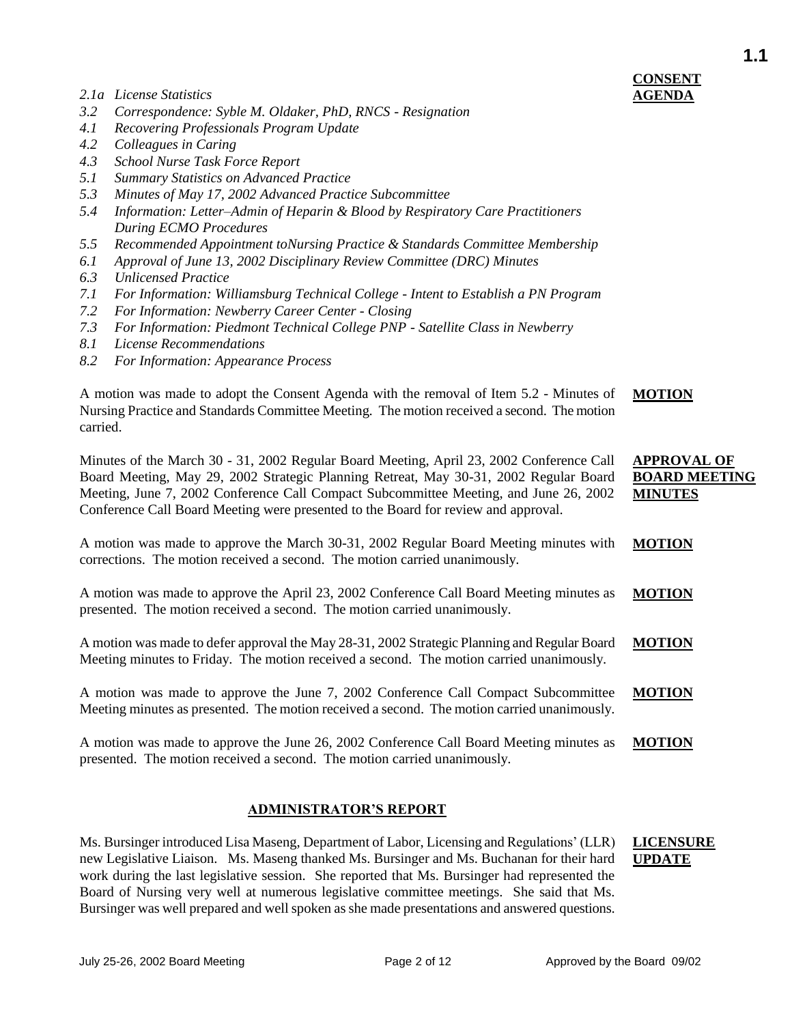- *2.1a License Statistics*
- *3.2 Correspondence: Syble M. Oldaker, PhD, RNCS - Resignation*
- *4.1 Recovering Professionals Program Update*
- *4.2 Colleagues in Caring*
- *4.3 School Nurse Task Force Report*
- *5.1 Summary Statistics on Advanced Practice*
- *5.3 Minutes of May 17, 2002 Advanced Practice Subcommittee*
- *5.4 Information: Letter–Admin of Heparin & Blood by Respiratory Care Practitioners During ECMO Procedures*
- *5.5 Recommended Appointment toNursing Practice & Standards Committee Membership*
- *6.1 Approval of June 13, 2002 Disciplinary Review Committee (DRC) Minutes*
- *6.3 Unlicensed Practice*
- *7.1 For Information: Williamsburg Technical College - Intent to Establish a PN Program*
- *7.2 For Information: Newberry Career Center - Closing*
- *7.3 For Information: Piedmont Technical College PNP - Satellite Class in Newberry*
- *8.1 License Recommendations*
- *8.2 For Information: Appearance Process*

A motion was made to adopt the Consent Agenda with the removal of Item 5.2 - Minutes of Nursing Practice and Standards Committee Meeting*.* The motion received a second. The motion carried. **MOTION**

Minutes of the March 30 - 31, 2002 Regular Board Meeting, April 23, 2002 Conference Call Board Meeting, May 29, 2002 Strategic Planning Retreat, May 30-31, 2002 Regular Board Meeting, June 7, 2002 Conference Call Compact Subcommittee Meeting, and June 26, 2002 Conference Call Board Meeting were presented to the Board for review and approval. **APPROVAL OF BOARD MEETING MINUTES**

A motion was made to approve the March 30-31, 2002 Regular Board Meeting minutes with corrections. The motion received a second. The motion carried unanimously. **MOTION**

A motion was made to approve the April 23, 2002 Conference Call Board Meeting minutes as presented. The motion received a second. The motion carried unanimously. **MOTION**

A motion was made to defer approval the May 28-31, 2002 Strategic Planning and Regular Board Meeting minutes to Friday. The motion received a second. The motion carried unanimously. **MOTION**

A motion was made to approve the June 7, 2002 Conference Call Compact Subcommittee Meeting minutes as presented. The motion received a second. The motion carried unanimously. **MOTION**

A motion was made to approve the June 26, 2002 Conference Call Board Meeting minutes as presented. The motion received a second. The motion carried unanimously. **MOTION**

#### **ADMINISTRATOR'S REPORT**

Ms. Bursinger introduced Lisa Maseng, Department of Labor, Licensing and Regulations' (LLR) new Legislative Liaison. Ms. Maseng thanked Ms. Bursinger and Ms. Buchanan for their hard work during the last legislative session. She reported that Ms. Bursinger had represented the Board of Nursing very well at numerous legislative committee meetings. She said that Ms. Bursinger was well prepared and well spoken as she made presentations and answered questions. **LICENSURE UPDATE**

# **CONSENT AGENDA**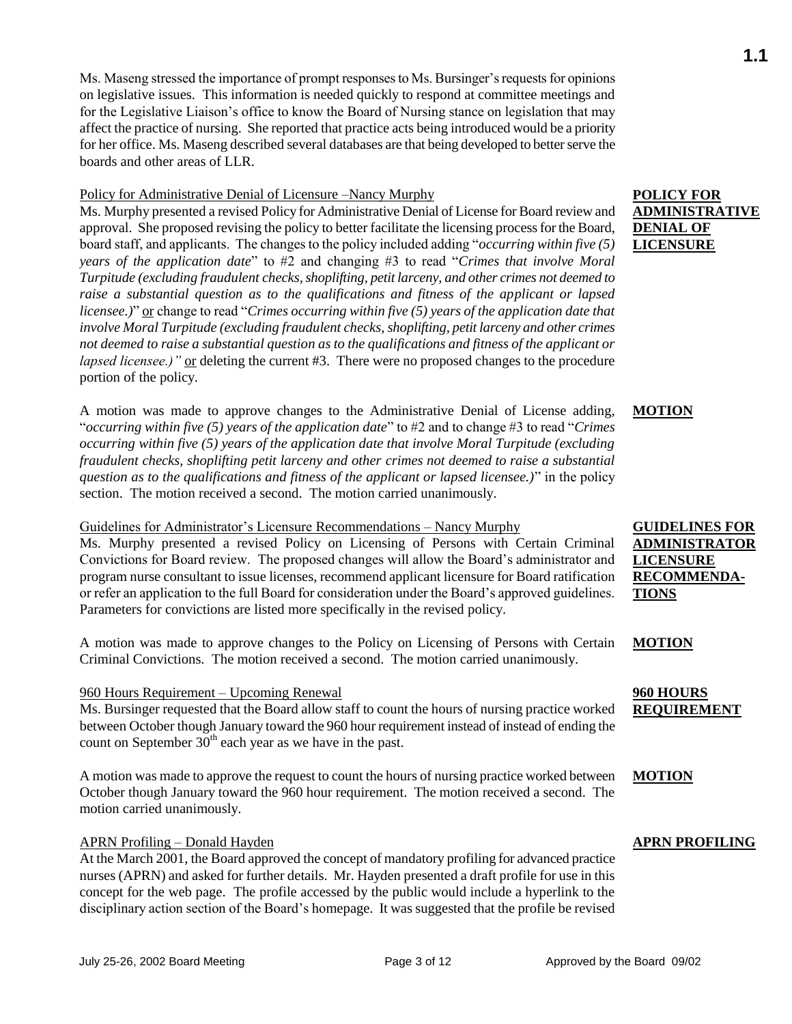Ms. Maseng stressed the importance of prompt responses to Ms. Bursinger's requests for opinions on legislative issues. This information is needed quickly to respond at committee meetings and for the Legislative Liaison's office to know the Board of Nursing stance on legislation that may affect the practice of nursing. She reported that practice acts being introduced would be a priority for her office. Ms. Maseng described several databases are that being developed to better serve the boards and other areas of LLR.

#### Policy for Administrative Denial of Licensure –Nancy Murphy

Ms. Murphy presented a revised Policy for Administrative Denial of License for Board review and approval. She proposed revising the policy to better facilitate the licensing process for the Board, board staff, and applicants. The changes to the policy included adding "*occurring within five (5) years of the application date*" to #2 and changing #3 to read "*Crimes that involve Moral Turpitude (excluding fraudulent checks, shoplifting, petit larceny, and other crimes not deemed to raise a substantial question as to the qualifications and fitness of the applicant or lapsed licensee.*)" <u>or</u> change to read "*Crimes occurring within five (5) years of the application date that involve Moral Turpitude (excluding fraudulent checks, shoplifting, petit larceny and other crimes not deemed to raise a substantial question as to the qualifications and fitness of the applicant or lapsed licensee.)*" or deleting the current #3. There were no proposed changes to the procedure portion of the policy.

A motion was made to approve changes to the Administrative Denial of License adding, "*occurring within five (5) years of the application date*" to #2 and to change #3 to read "*Crimes occurring within five (5) years of the application date that involve Moral Turpitude (excluding fraudulent checks, shoplifting petit larceny and other crimes not deemed to raise a substantial question as to the qualifications and fitness of the applicant or lapsed licensee.)*" in the policy section. The motion received a second. The motion carried unanimously.

#### Guidelines for Administrator's Licensure Recommendations – Nancy Murphy

Ms. Murphy presented a revised Policy on Licensing of Persons with Certain Criminal Convictions for Board review. The proposed changes will allow the Board's administrator and program nurse consultant to issue licenses, recommend applicant licensure for Board ratification or refer an application to the full Board for consideration under the Board's approved guidelines. Parameters for convictions are listed more specifically in the revised policy.

A motion was made to approve changes to the Policy on Licensing of Persons with Certain Criminal Convictions. The motion received a second. The motion carried unanimously.

## 960 Hours Requirement – Upcoming Renewal

Ms. Bursinger requested that the Board allow staff to count the hours of nursing practice worked between October though January toward the 960 hour requirement instead of instead of ending the count on September  $30<sup>th</sup>$  each year as we have in the past.

A motion was made to approve the request to count the hours of nursing practice worked between October though January toward the 960 hour requirement. The motion received a second. The motion carried unanimously.

## APRN Profiling – Donald Hayden

At the March 2001, the Board approved the concept of mandatory profiling for advanced practice nurses (APRN) and asked for further details. Mr. Hayden presented a draft profile for use in this concept for the web page. The profile accessed by the public would include a hyperlink to the disciplinary action section of the Board's homepage. It was suggested that the profile be revised

## **POLICY FOR ADMINISTRATIVE DENIAL OF LICENSURE**

## **MOTION**

## **GUIDELINES FOR ADMINISTRATOR LICENSURE RECOMMENDA-TIONS**

#### **MOTION**

#### **960 HOURS REQUIREMENT**

## **MOTION**

## **APRN PROFILING**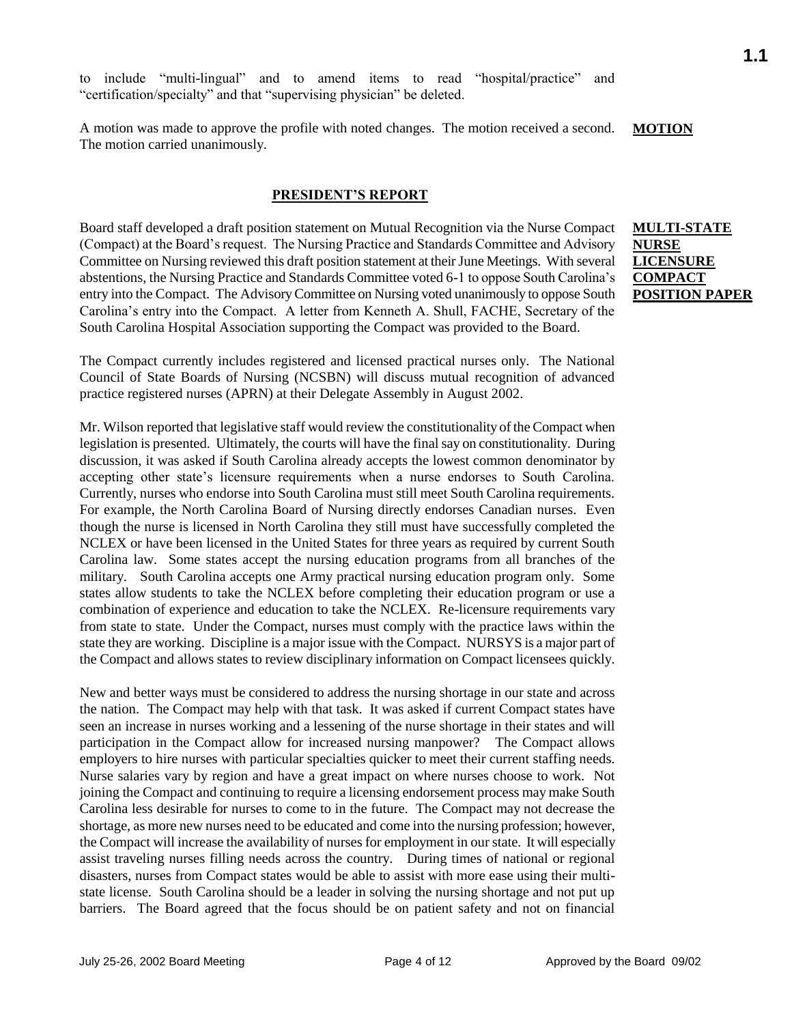to include "multi-lingual" and to amend items to read "hospital/practice" and "certification/specialty" and that "supervising physician" be deleted.

A motion was made to approve the profile with noted changes. The motion received a second. The motion carried unanimously. **MOTION**

#### **PRESIDENT'S REPORT**

Board staff developed a draft position statement on Mutual Recognition via the Nurse Compact (Compact) at the Board's request. The Nursing Practice and Standards Committee and Advisory Committee on Nursing reviewed this draft position statement at their June Meetings. With several abstentions, the Nursing Practice and Standards Committee voted 6-1 to oppose South Carolina's entry into the Compact. The Advisory Committee on Nursing voted unanimously to oppose South Carolina's entry into the Compact. A letter from Kenneth A. Shull, FACHE, Secretary of the South Carolina Hospital Association supporting the Compact was provided to the Board.

**MULTI-STATE NURSE LICENSURE COMPACT POSITION PAPER**

The Compact currently includes registered and licensed practical nurses only. The National Council of State Boards of Nursing (NCSBN) will discuss mutual recognition of advanced practice registered nurses (APRN) at their Delegate Assembly in August 2002.

Mr. Wilson reported that legislative staff would review the constitutionality of the Compact when legislation is presented. Ultimately, the courts will have the final say on constitutionality. During discussion, it was asked if South Carolina already accepts the lowest common denominator by accepting other state's licensure requirements when a nurse endorses to South Carolina. Currently, nurses who endorse into South Carolina must still meet South Carolina requirements. For example, the North Carolina Board of Nursing directly endorses Canadian nurses. Even though the nurse is licensed in North Carolina they still must have successfully completed the NCLEX or have been licensed in the United States for three years as required by current South Carolina law. Some states accept the nursing education programs from all branches of the military. South Carolina accepts one Army practical nursing education program only. Some states allow students to take the NCLEX before completing their education program or use a combination of experience and education to take the NCLEX. Re-licensure requirements vary from state to state. Under the Compact, nurses must comply with the practice laws within the state they are working. Discipline is a major issue with the Compact. NURSYS is a major part of the Compact and allows states to review disciplinary information on Compact licensees quickly.

New and better ways must be considered to address the nursing shortage in our state and across the nation. The Compact may help with that task. It was asked if current Compact states have seen an increase in nurses working and a lessening of the nurse shortage in their states and will participation in the Compact allow for increased nursing manpower? The Compact allows employers to hire nurses with particular specialties quicker to meet their current staffing needs. Nurse salaries vary by region and have a great impact on where nurses choose to work. Not joining the Compact and continuing to require a licensing endorsement process may make South Carolina less desirable for nurses to come to in the future. The Compact may not decrease the shortage, as more new nurses need to be educated and come into the nursing profession; however, the Compact will increase the availability of nurses for employment in our state. It will especially assist traveling nurses filling needs across the country. During times of national or regional disasters, nurses from Compact states would be able to assist with more ease using their multistate license. South Carolina should be a leader in solving the nursing shortage and not put up barriers.The Board agreed that the focus should be on patient safety and not on financial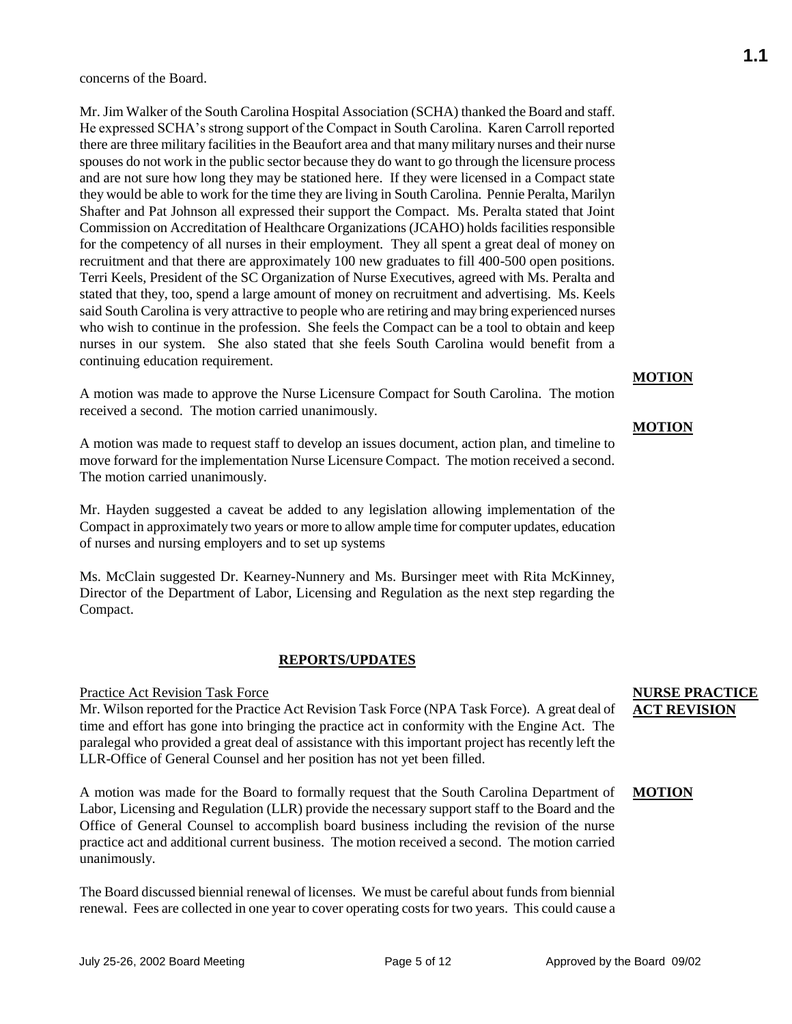concerns of the Board.

Mr. Jim Walker of the South Carolina Hospital Association (SCHA) thanked the Board and staff. He expressed SCHA's strong support of the Compact in South Carolina. Karen Carroll reported there are three military facilities in the Beaufort area and that many military nurses and their nurse spouses do not work in the public sector because they do want to go through the licensure process and are not sure how long they may be stationed here. If they were licensed in a Compact state they would be able to work for the time they are living in South Carolina. Pennie Peralta, Marilyn Shafter and Pat Johnson all expressed their support the Compact. Ms. Peralta stated that Joint Commission on Accreditation of Healthcare Organizations (JCAHO) holds facilities responsible for the competency of all nurses in their employment. They all spent a great deal of money on recruitment and that there are approximately 100 new graduates to fill 400-500 open positions. Terri Keels, President of the SC Organization of Nurse Executives, agreed with Ms. Peralta and stated that they, too, spend a large amount of money on recruitment and advertising. Ms. Keels said South Carolina is very attractive to people who are retiring and may bring experienced nurses who wish to continue in the profession. She feels the Compact can be a tool to obtain and keep nurses in our system. She also stated that she feels South Carolina would benefit from a continuing education requirement.

A motion was made to approve the Nurse Licensure Compact for South Carolina. The motion received a second. The motion carried unanimously.

A motion was made to request staff to develop an issues document, action plan, and timeline to move forward for the implementation Nurse Licensure Compact. The motion received a second. The motion carried unanimously.

Mr. Hayden suggested a caveat be added to any legislation allowing implementation of the Compact in approximately two years or more to allow ample time for computer updates, education of nurses and nursing employers and to set up systems

Ms. McClain suggested Dr. Kearney-Nunnery and Ms. Bursinger meet with Rita McKinney, Director of the Department of Labor, Licensing and Regulation as the next step regarding the Compact.

#### **REPORTS/UPDATES**

#### Practice Act Revision Task Force

Mr. Wilson reported for the Practice Act Revision Task Force (NPA Task Force). A great deal of time and effort has gone into bringing the practice act in conformity with the Engine Act. The paralegal who provided a great deal of assistance with this important project has recently left the LLR-Office of General Counsel and her position has not yet been filled.

A motion was made for the Board to formally request that the South Carolina Department of Labor, Licensing and Regulation (LLR) provide the necessary support staff to the Board and the Office of General Counsel to accomplish board business including the revision of the nurse practice act and additional current business. The motion received a second. The motion carried unanimously.

The Board discussed biennial renewal of licenses. We must be careful about funds from biennial renewal. Fees are collected in one year to cover operating costs for two years. This could cause a

## **NURSE PRACTICE ACT REVISION**

#### **MOTION**

**MOTION**

**MOTION**

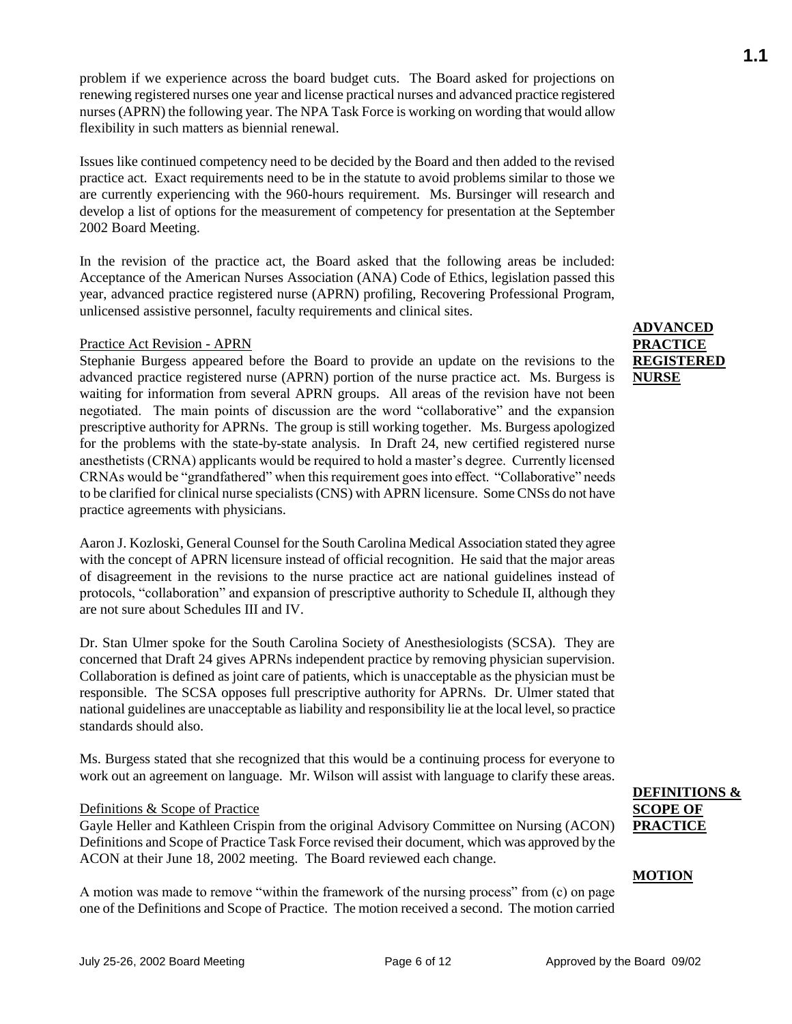problem if we experience across the board budget cuts. The Board asked for projections on renewing registered nurses one year and license practical nurses and advanced practice registered nurses (APRN) the following year. The NPA Task Force is working on wording that would allow flexibility in such matters as biennial renewal.

Issues like continued competency need to be decided by the Board and then added to the revised practice act. Exact requirements need to be in the statute to avoid problems similar to those we are currently experiencing with the 960-hours requirement. Ms. Bursinger will research and develop a list of options for the measurement of competency for presentation at the September 2002 Board Meeting.

In the revision of the practice act, the Board asked that the following areas be included: Acceptance of the American Nurses Association (ANA) Code of Ethics, legislation passed this year, advanced practice registered nurse (APRN) profiling, Recovering Professional Program, unlicensed assistive personnel, faculty requirements and clinical sites.

#### Practice Act Revision - APRN

Stephanie Burgess appeared before the Board to provide an update on the revisions to the advanced practice registered nurse (APRN) portion of the nurse practice act. Ms. Burgess is waiting for information from several APRN groups. All areas of the revision have not been negotiated. The main points of discussion are the word "collaborative" and the expansion prescriptive authority for APRNs. The group is still working together. Ms. Burgess apologized for the problems with the state-by-state analysis. In Draft 24, new certified registered nurse anesthetists (CRNA) applicants would be required to hold a master's degree. Currently licensed CRNAs would be "grandfathered" when this requirement goes into effect. "Collaborative" needs to be clarified for clinical nurse specialists (CNS) with APRN licensure. Some CNSs do not have practice agreements with physicians.

Aaron J. Kozloski, General Counsel for the South Carolina Medical Association stated they agree with the concept of APRN licensure instead of official recognition. He said that the major areas of disagreement in the revisions to the nurse practice act are national guidelines instead of protocols, "collaboration" and expansion of prescriptive authority to Schedule II, although they are not sure about Schedules III and IV.

Dr. Stan Ulmer spoke for the South Carolina Society of Anesthesiologists (SCSA). They are concerned that Draft 24 gives APRNs independent practice by removing physician supervision. Collaboration is defined as joint care of patients, which is unacceptable as the physician must be responsible. The SCSA opposes full prescriptive authority for APRNs. Dr. Ulmer stated that national guidelines are unacceptable as liability and responsibility lie at the local level, so practice standards should also.

Ms. Burgess stated that she recognized that this would be a continuing process for everyone to work out an agreement on language. Mr. Wilson will assist with language to clarify these areas.

#### Definitions & Scope of Practice

Gayle Heller and Kathleen Crispin from the original Advisory Committee on Nursing (ACON) Definitions and Scope of Practice Task Force revised their document, which was approved by the ACON at their June 18, 2002 meeting. The Board reviewed each change.

A motion was made to remove "within the framework of the nursing process" from (c) on page one of the Definitions and Scope of Practice. The motion received a second. The motion carried

## **ADVANCED PRACTICE REGISTERED NURSE**

## **DEFINITIONS & SCOPE OF PRACTICE**

#### **MOTION**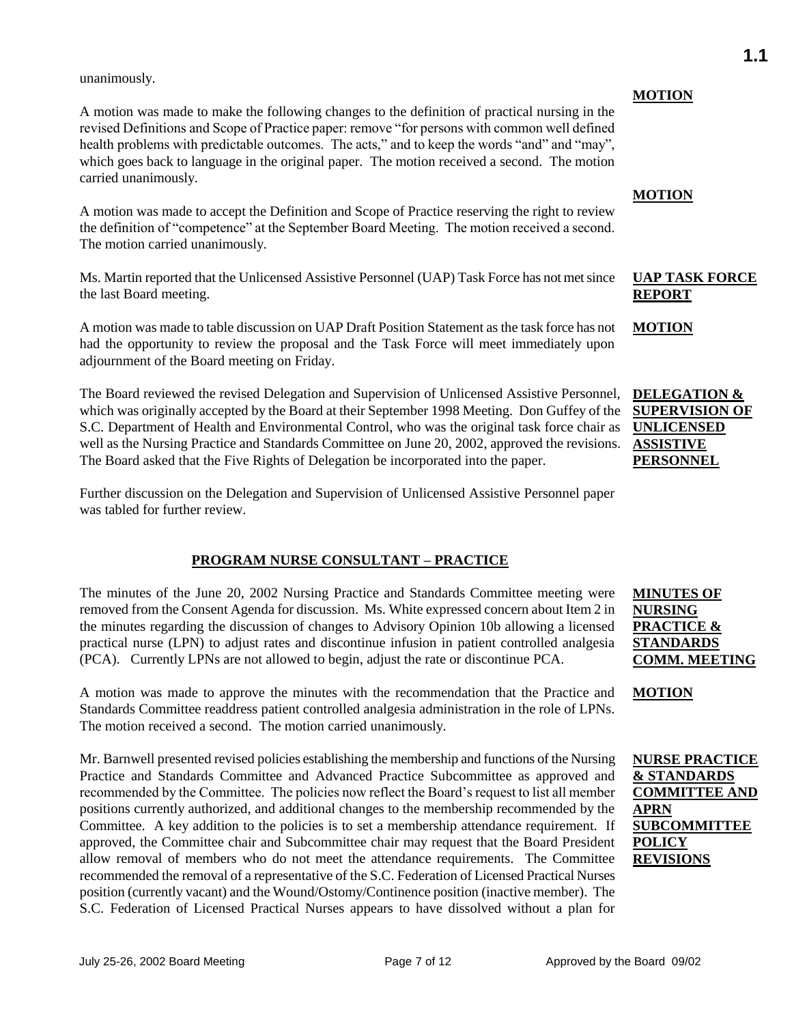unanimously.

A motion was made to make the following changes to the definition of practical nursing in the revised Definitions and Scope of Practice paper: remove "for persons with common well defined health problems with predictable outcomes. The acts," and to keep the words "and" and "may", which goes back to language in the original paper. The motion received a second. The motion carried unanimously.

A motion was made to accept the Definition and Scope of Practice reserving the right to review the definition of "competence" at the September Board Meeting. The motion received a second. The motion carried unanimously.

Ms. Martin reported that the Unlicensed Assistive Personnel (UAP) Task Force has not met since the last Board meeting.

A motion was made to table discussion on UAP Draft Position Statement as the task force has not had the opportunity to review the proposal and the Task Force will meet immediately upon adjournment of the Board meeting on Friday.

The Board reviewed the revised Delegation and Supervision of Unlicensed Assistive Personnel, which was originally accepted by the Board at their September 1998 Meeting. Don Guffey of the S.C. Department of Health and Environmental Control, who was the original task force chair as well as the Nursing Practice and Standards Committee on June 20, 2002, approved the revisions. The Board asked that the Five Rights of Delegation be incorporated into the paper.

Further discussion on the Delegation and Supervision of Unlicensed Assistive Personnel paper was tabled for further review.

## **PROGRAM NURSE CONSULTANT – PRACTICE**

The minutes of the June 20, 2002 Nursing Practice and Standards Committee meeting were removed from the Consent Agenda for discussion. Ms. White expressed concern about Item 2 in the minutes regarding the discussion of changes to Advisory Opinion 10b allowing a licensed practical nurse (LPN) to adjust rates and discontinue infusion in patient controlled analgesia (PCA). Currently LPNs are not allowed to begin, adjust the rate or discontinue PCA.

A motion was made to approve the minutes with the recommendation that the Practice and Standards Committee readdress patient controlled analgesia administration in the role of LPNs. The motion received a second. The motion carried unanimously.

Mr. Barnwell presented revised policies establishing the membership and functions of the Nursing Practice and Standards Committee and Advanced Practice Subcommittee as approved and recommended by the Committee. The policies now reflect the Board's request to list all member positions currently authorized, and additional changes to the membership recommended by the Committee. A key addition to the policies is to set a membership attendance requirement. If approved, the Committee chair and Subcommittee chair may request that the Board President allow removal of members who do not meet the attendance requirements. The Committee recommended the removal of a representative of the S.C. Federation of Licensed Practical Nurses position (currently vacant) and the Wound/Ostomy/Continence position (inactive member). The S.C. Federation of Licensed Practical Nurses appears to have dissolved without a plan for

#### **MOTION**

#### **MOTION**

## **UAP TASK FORCE REPORT**

**MOTION**

**DELEGATION & SUPERVISION OF UNLICENSED ASSISTIVE PERSONNEL**

### **MINUTES OF NURSING PRACTICE & STANDARDS COMM. MEETING**

**MOTION**

**NURSE PRACTICE & STANDARDS COMMITTEE AND APRN SUBCOMMITTEE POLICY REVISIONS**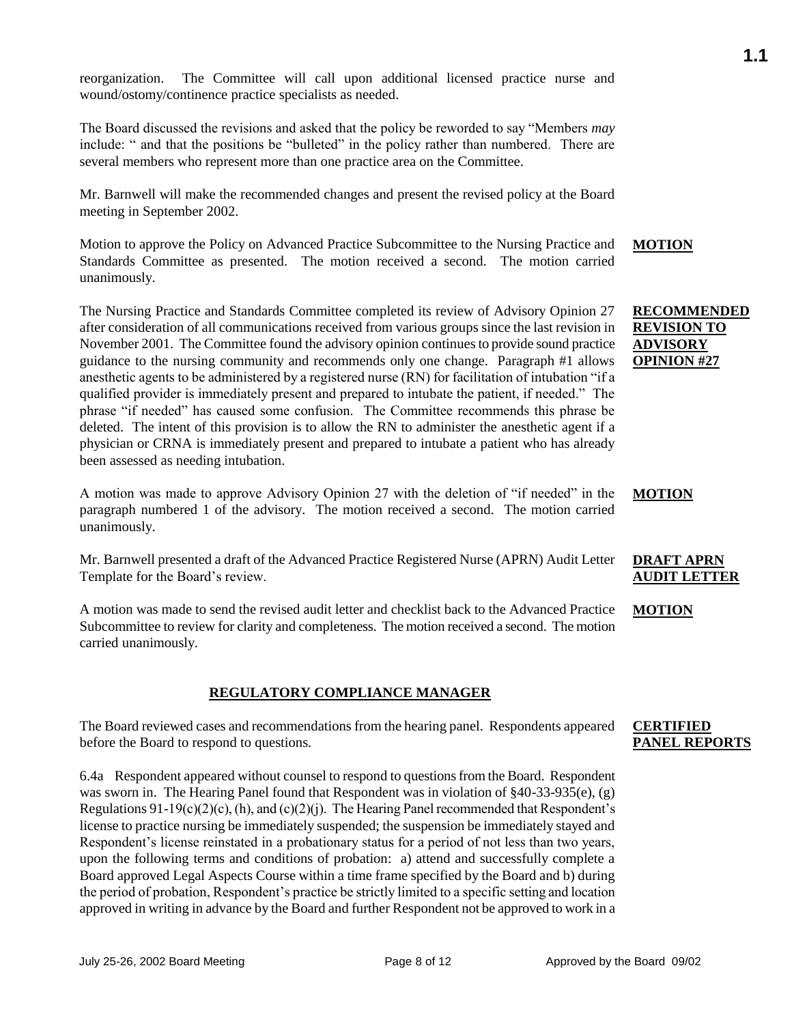reorganization. The Committee will call upon additional licensed practice nurse and wound/ostomy/continence practice specialists as needed.

The Board discussed the revisions and asked that the policy be reworded to say "Members *may* include: " and that the positions be "bulleted" in the policy rather than numbered. There are several members who represent more than one practice area on the Committee.

Mr. Barnwell will make the recommended changes and present the revised policy at the Board meeting in September 2002.

Motion to approve the Policy on Advanced Practice Subcommittee to the Nursing Practice and Standards Committee as presented. The motion received a second. The motion carried unanimously. **MOTION**

The Nursing Practice and Standards Committee completed its review of Advisory Opinion 27 after consideration of all communications received from various groups since the last revision in November 2001. The Committee found the advisory opinion continues to provide sound practice guidance to the nursing community and recommends only one change. Paragraph #1 allows anesthetic agents to be administered by a registered nurse (RN) for facilitation of intubation "if a qualified provider is immediately present and prepared to intubate the patient, if needed." The phrase "if needed" has caused some confusion. The Committee recommends this phrase be deleted. The intent of this provision is to allow the RN to administer the anesthetic agent if a physician or CRNA is immediately present and prepared to intubate a patient who has already been assessed as needing intubation.

A motion was made to approve Advisory Opinion 27 with the deletion of "if needed" in the paragraph numbered 1 of the advisory. The motion received a second. The motion carried unanimously.

Mr. Barnwell presented a draft of the Advanced Practice Registered Nurse (APRN) Audit Letter Template for the Board's review.

A motion was made to send the revised audit letter and checklist back to the Advanced Practice Subcommittee to review for clarity and completeness. The motion received a second. The motion carried unanimously.

## **REGULATORY COMPLIANCE MANAGER**

The Board reviewed cases and recommendations from the hearing panel. Respondents appeared before the Board to respond to questions.

6.4a Respondent appeared without counsel to respond to questions from the Board. Respondent was sworn in. The Hearing Panel found that Respondent was in violation of §40-33-935(e), (g) Regulations  $91-19(c)(2)(c)$ , (h), and  $(c)(2)(j)$ . The Hearing Panel recommended that Respondent's license to practice nursing be immediately suspended; the suspension be immediately stayed and Respondent's license reinstated in a probationary status for a period of not less than two years, upon the following terms and conditions of probation: a) attend and successfully complete a Board approved Legal Aspects Course within a time frame specified by the Board and b) during the period of probation, Respondent's practice be strictly limited to a specific setting and location approved in writing in advance by the Board and further Respondent not be approved to work in a

**RECOMMENDED REVISION TO ADVISORY OPINION #27**

## **MOTION**

## **DRAFT APRN AUDIT LETTER**

#### **MOTION**

#### **CERTIFIED PANEL REPORTS**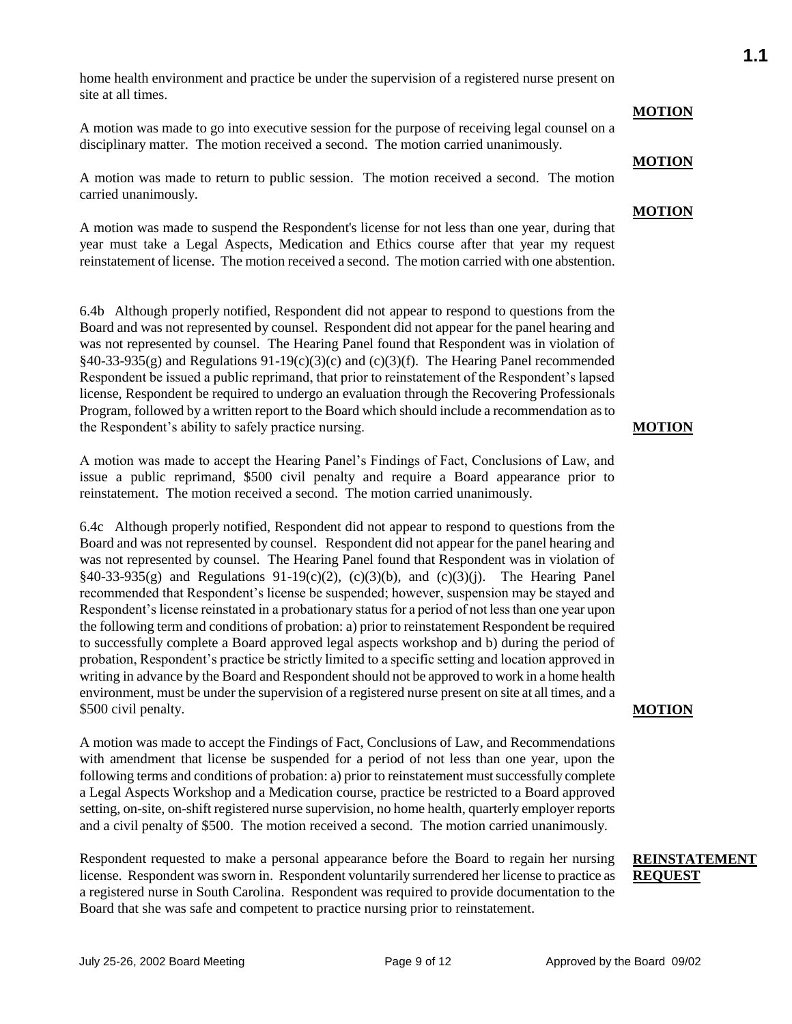home health environment and practice be under the supervision of a registered nurse present on site at all times.

A motion was made to go into executive session for the purpose of receiving legal counsel on a disciplinary matter. The motion received a second. The motion carried unanimously.

A motion was made to return to public session. The motion received a second. The motion carried unanimously.

A motion was made to suspend the Respondent's license for not less than one year, during that year must take a Legal Aspects, Medication and Ethics course after that year my request reinstatement of license. The motion received a second. The motion carried with one abstention.

6.4b Although properly notified, Respondent did not appear to respond to questions from the Board and was not represented by counsel. Respondent did not appear for the panel hearing and was not represented by counsel. The Hearing Panel found that Respondent was in violation of  $§40-33-935(g)$  and Regulations 91-19(c)(3)(c) and (c)(3)(f). The Hearing Panel recommended Respondent be issued a public reprimand, that prior to reinstatement of the Respondent's lapsed license, Respondent be required to undergo an evaluation through the Recovering Professionals Program, followed by a written report to the Board which should include a recommendation as to the Respondent's ability to safely practice nursing.

A motion was made to accept the Hearing Panel's Findings of Fact, Conclusions of Law, and issue a public reprimand, \$500 civil penalty and require a Board appearance prior to reinstatement. The motion received a second. The motion carried unanimously.

6.4c Although properly notified, Respondent did not appear to respond to questions from the Board and was not represented by counsel. Respondent did not appear for the panel hearing and was not represented by counsel. The Hearing Panel found that Respondent was in violation of §40-33-935(g) and Regulations 91-19(c)(2), (c)(3)(b), and (c)(3)(j). The Hearing Panel recommended that Respondent's license be suspended; however, suspension may be stayed and Respondent's license reinstated in a probationary status for a period of not less than one year upon the following term and conditions of probation: a) prior to reinstatement Respondent be required to successfully complete a Board approved legal aspects workshop and b) during the period of probation, Respondent's practice be strictly limited to a specific setting and location approved in writing in advance by the Board and Respondent should not be approved to work in a home health environment, must be under the supervision of a registered nurse present on site at all times, and a \$500 civil penalty.

A motion was made to accept the Findings of Fact, Conclusions of Law, and Recommendations with amendment that license be suspended for a period of not less than one year, upon the following terms and conditions of probation: a) prior to reinstatement must successfully complete a Legal Aspects Workshop and a Medication course, practice be restricted to a Board approved setting, on-site, on-shift registered nurse supervision, no home health, quarterly employer reports and a civil penalty of \$500. The motion received a second. The motion carried unanimously.

Respondent requested to make a personal appearance before the Board to regain her nursing license. Respondent was sworn in. Respondent voluntarily surrendered her license to practice as a registered nurse in South Carolina. Respondent was required to provide documentation to the Board that she was safe and competent to practice nursing prior to reinstatement.

#### July 25-26, 2002 Board Meeting The Page 9 of 12 Approved by the Board 09/02

#### **MOTION**

#### **MOTION**

#### **MOTION**

**MOTION**

## **MOTION**

## **REINSTATEMENT REQUEST**

# **1.1**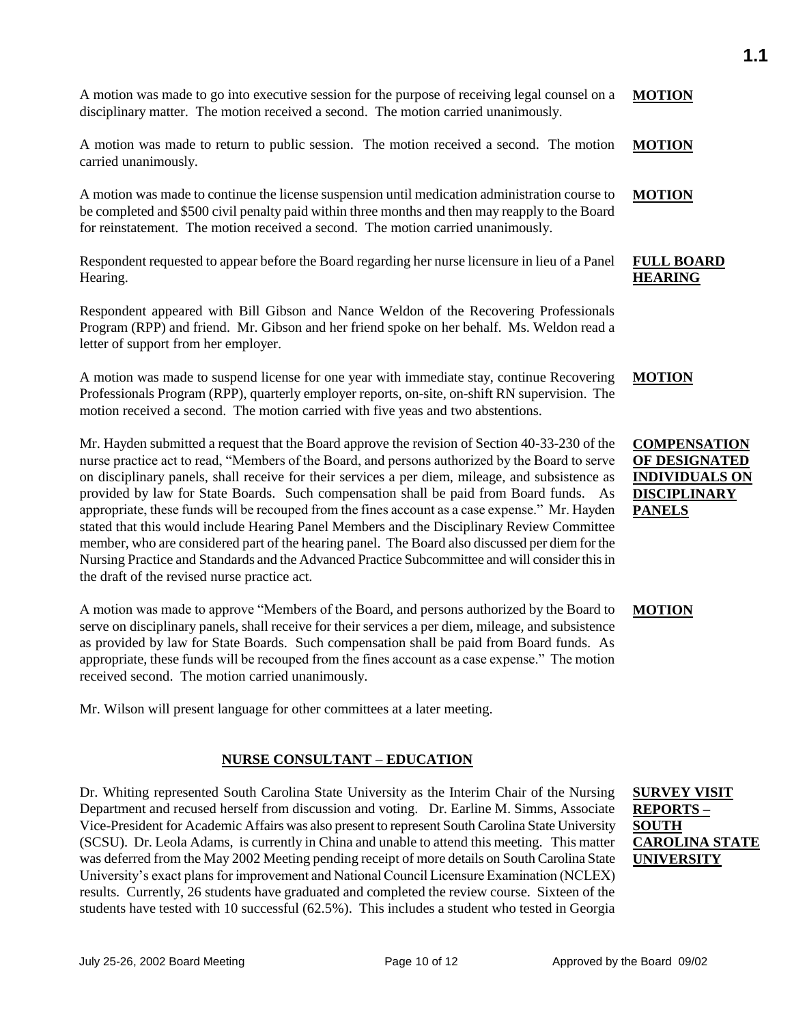A motion was made to go into executive session for the purpose of receiving legal counsel on a disciplinary matter. The motion received a second. The motion carried unanimously. **MOTION**

A motion was made to return to public session. The motion received a second. The motion carried unanimously. **MOTION**

A motion was made to continue the license suspension until medication administration course to be completed and \$500 civil penalty paid within three months and then may reapply to the Board for reinstatement. The motion received a second. The motion carried unanimously. **MOTION**

Respondent requested to appear before the Board regarding her nurse licensure in lieu of a Panel Hearing.

Respondent appeared with Bill Gibson and Nance Weldon of the Recovering Professionals Program (RPP) and friend. Mr. Gibson and her friend spoke on her behalf. Ms. Weldon read a letter of support from her employer.

A motion was made to suspend license for one year with immediate stay, continue Recovering Professionals Program (RPP), quarterly employer reports, on-site, on-shift RN supervision. The motion received a second. The motion carried with five yeas and two abstentions. **MOTION**

Mr. Hayden submitted a request that the Board approve the revision of Section 40-33-230 of the nurse practice act to read, "Members of the Board, and persons authorized by the Board to serve on disciplinary panels, shall receive for their services a per diem, mileage, and subsistence as provided by law for State Boards. Such compensation shall be paid from Board funds. As appropriate, these funds will be recouped from the fines account as a case expense." Mr. Hayden stated that this would include Hearing Panel Members and the Disciplinary Review Committee member, who are considered part of the hearing panel. The Board also discussed per diem for the Nursing Practice and Standards and the Advanced Practice Subcommittee and will consider this in the draft of the revised nurse practice act.

A motion was made to approve "Members of the Board, and persons authorized by the Board to serve on disciplinary panels, shall receive for their services a per diem, mileage, and subsistence as provided by law for State Boards. Such compensation shall be paid from Board funds. As appropriate, these funds will be recouped from the fines account as a case expense." The motion received second. The motion carried unanimously.

Mr. Wilson will present language for other committees at a later meeting.

## **NURSE CONSULTANT – EDUCATION**

Dr. Whiting represented South Carolina State University as the Interim Chair of the Nursing Department and recused herself from discussion and voting. Dr. Earline M. Simms, Associate Vice-President for Academic Affairs was also present to represent South Carolina State University (SCSU). Dr. Leola Adams, is currently in China and unable to attend this meeting. This matter was deferred from the May 2002 Meeting pending receipt of more details on South Carolina State University's exact plans for improvement and National Council Licensure Examination (NCLEX) results. Currently, 26 students have graduated and completed the review course. Sixteen of the students have tested with 10 successful (62.5%). This includes a student who tested in Georgia

## **COMPENSATION OF DESIGNATED INDIVIDUALS ON DISCIPLINARY PANELS**

**FULL BOARD HEARING**

#### **MOTION**

**SURVEY VISIT REPORTS – SOUTH CAROLINA STATE UNIVERSITY**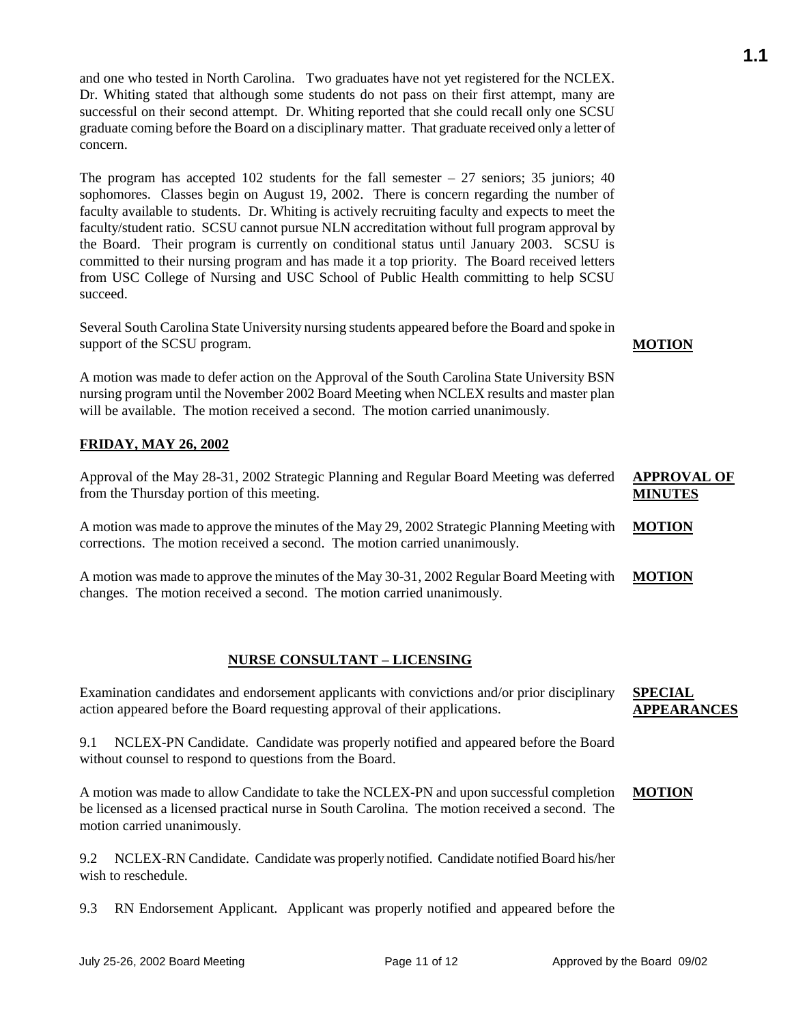and one who tested in North Carolina. Two graduates have not yet registered for the NCLEX. Dr. Whiting stated that although some students do not pass on their first attempt, many are successful on their second attempt. Dr. Whiting reported that she could recall only one SCSU graduate coming before the Board on a disciplinary matter. That graduate received only a letter of concern.

The program has accepted 102 students for the fall semester  $-27$  seniors; 35 juniors; 40 sophomores. Classes begin on August 19, 2002. There is concern regarding the number of faculty available to students. Dr. Whiting is actively recruiting faculty and expects to meet the faculty/student ratio. SCSU cannot pursue NLN accreditation without full program approval by the Board. Their program is currently on conditional status until January 2003. SCSU is committed to their nursing program and has made it a top priority. The Board received letters from USC College of Nursing and USC School of Public Health committing to help SCSU succeed.

Several South Carolina State University nursing students appeared before the Board and spoke in support of the SCSU program.

A motion was made to defer action on the Approval of the South Carolina State University BSN nursing program until the November 2002 Board Meeting when NCLEX results and master plan will be available. The motion received a second. The motion carried unanimously.

## **FRIDAY, MAY 26, 2002**

Approval of the May 28-31, 2002 Strategic Planning and Regular Board Meeting was deferred from the Thursday portion of this meeting. **APPROVAL OF MINUTES**

A motion was made to approve the minutes of the May 29, 2002 Strategic Planning Meeting with corrections. The motion received a second. The motion carried unanimously. **MOTION**

A motion was made to approve the minutes of the May 30-31, 2002 Regular Board Meeting with changes. The motion received a second. The motion carried unanimously. **MOTION**

#### **NURSE CONSULTANT – LICENSING**

Examination candidates and endorsement applicants with convictions and/or prior disciplinary action appeared before the Board requesting approval of their applications. **SPECIAL APPEARANCES**

9.1 NCLEX-PN Candidate. Candidate was properly notified and appeared before the Board without counsel to respond to questions from the Board.

A motion was made to allow Candidate to take the NCLEX-PN and upon successful completion be licensed as a licensed practical nurse in South Carolina. The motion received a second. The motion carried unanimously.

9.2 NCLEX-RN Candidate. Candidate was properly notified. Candidate notified Board his/her wish to reschedule.

9.3 RN Endorsement Applicant. Applicant was properly notified and appeared before the

#### **MOTION**

#### **MOTION**